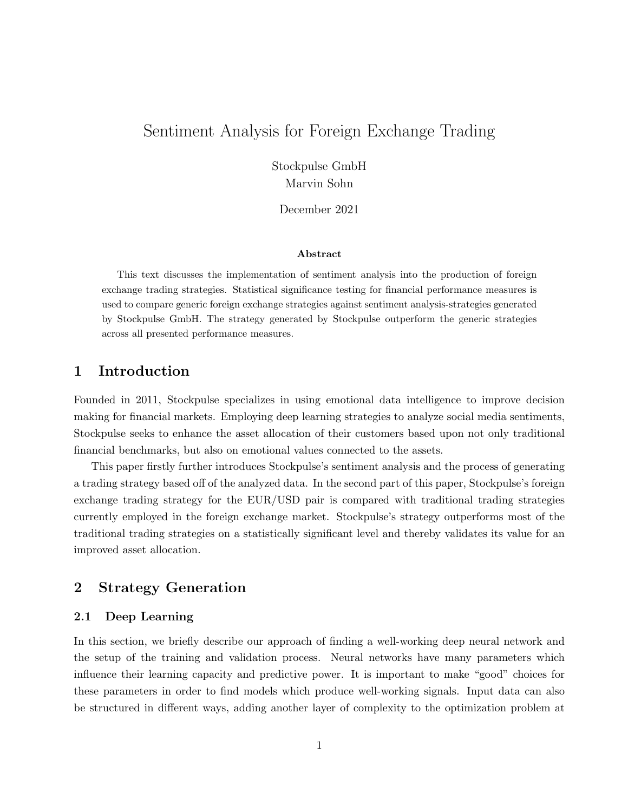# Sentiment Analysis for Foreign Exchange Trading

Stockpulse GmbH Marvin Sohn

December 2021

#### Abstract

This text discusses the implementation of sentiment analysis into the production of foreign exchange trading strategies. Statistical significance testing for financial performance measures is used to compare generic foreign exchange strategies against sentiment analysis-strategies generated by Stockpulse GmbH. The strategy generated by Stockpulse outperform the generic strategies across all presented performance measures.

## 1 Introduction

Founded in 2011, Stockpulse specializes in using emotional data intelligence to improve decision making for financial markets. Employing deep learning strategies to analyze social media sentiments, Stockpulse seeks to enhance the asset allocation of their customers based upon not only traditional financial benchmarks, but also on emotional values connected to the assets.

This paper firstly further introduces Stockpulse's sentiment analysis and the process of generating a trading strategy based off of the analyzed data. In the second part of this paper, Stockpulse's foreign exchange trading strategy for the EUR/USD pair is compared with traditional trading strategies currently employed in the foreign exchange market. Stockpulse's strategy outperforms most of the traditional trading strategies on a statistically significant level and thereby validates its value for an improved asset allocation.

## 2 Strategy Generation

## 2.1 Deep Learning

In this section, we briefly describe our approach of finding a well-working deep neural network and the setup of the training and validation process. Neural networks have many parameters which influence their learning capacity and predictive power. It is important to make "good" choices for these parameters in order to find models which produce well-working signals. Input data can also be structured in different ways, adding another layer of complexity to the optimization problem at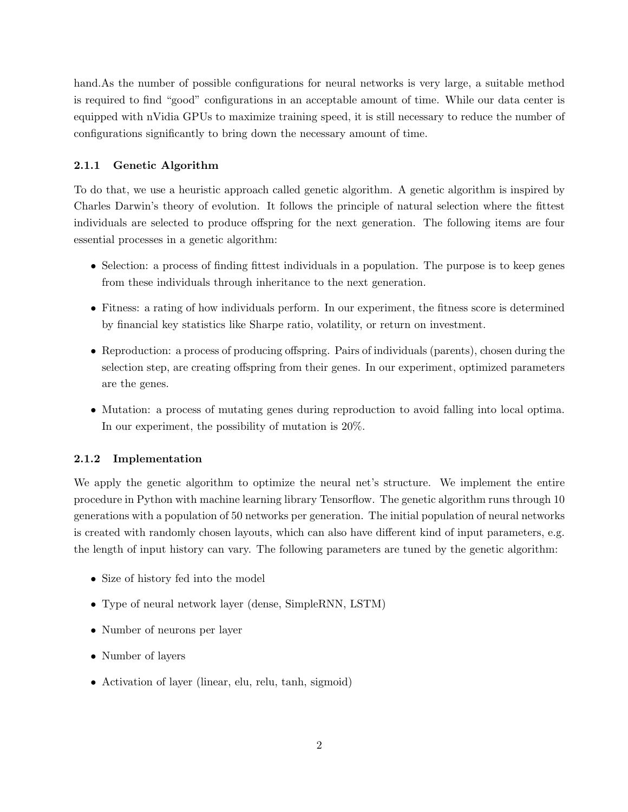hand.As the number of possible configurations for neural networks is very large, a suitable method is required to find "good" configurations in an acceptable amount of time. While our data center is equipped with nVidia GPUs to maximize training speed, it is still necessary to reduce the number of configurations significantly to bring down the necessary amount of time.

### 2.1.1 Genetic Algorithm

To do that, we use a heuristic approach called genetic algorithm. A genetic algorithm is inspired by Charles Darwin's theory of evolution. It follows the principle of natural selection where the fittest individuals are selected to produce offspring for the next generation. The following items are four essential processes in a genetic algorithm:

- Selection: a process of finding fittest individuals in a population. The purpose is to keep genes from these individuals through inheritance to the next generation.
- Fitness: a rating of how individuals perform. In our experiment, the fitness score is determined by financial key statistics like Sharpe ratio, volatility, or return on investment.
- Reproduction: a process of producing offspring. Pairs of individuals (parents), chosen during the selection step, are creating offspring from their genes. In our experiment, optimized parameters are the genes.
- Mutation: a process of mutating genes during reproduction to avoid falling into local optima. In our experiment, the possibility of mutation is 20%.

### 2.1.2 Implementation

We apply the genetic algorithm to optimize the neural net's structure. We implement the entire procedure in Python with machine learning library Tensorflow. The genetic algorithm runs through 10 generations with a population of 50 networks per generation. The initial population of neural networks is created with randomly chosen layouts, which can also have different kind of input parameters, e.g. the length of input history can vary. The following parameters are tuned by the genetic algorithm:

- Size of history fed into the model
- Type of neural network layer (dense, SimpleRNN, LSTM)
- Number of neurons per layer
- Number of layers
- Activation of layer (linear, elu, relu, tanh, sigmoid)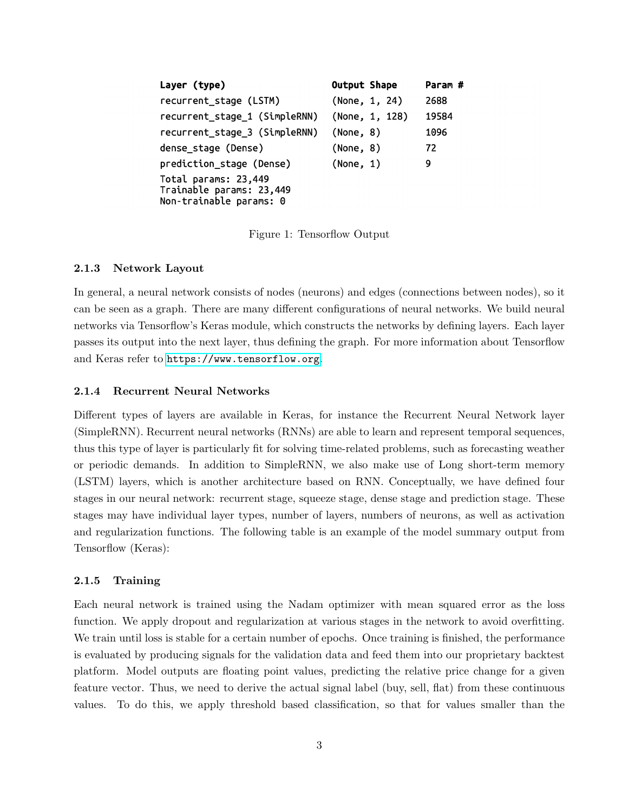| Layer (type)                                                                | <b>Output Shape</b> | Param # |
|-----------------------------------------------------------------------------|---------------------|---------|
| recurrent_stage (LSTM)                                                      | (None, 1, 24)       | 2688    |
| recurrent_stage_1 (SimpleRNN)                                               | (None, 1, 128)      | 19584   |
| recurrent_stage_3 (SimpleRNN)                                               | (None, 8)           | 1096    |
| dense stage (Dense)                                                         | (None, 8)           | 72      |
| prediction_stage (Dense)                                                    | (None, 1)           | 9       |
| Total params: 23,449<br>Trainable params: 23,449<br>Non-trainable params: 0 |                     |         |

Figure 1: Tensorflow Output

#### 2.1.3 Network Layout

In general, a neural network consists of nodes (neurons) and edges (connections between nodes), so it can be seen as a graph. There are many different configurations of neural networks. We build neural networks via Tensorflow's Keras module, which constructs the networks by defining layers. Each layer passes its output into the next layer, thus defining the graph. For more information about Tensorflow and Keras refer to <https://www.tensorflow.org>.

### 2.1.4 Recurrent Neural Networks

Different types of layers are available in Keras, for instance the Recurrent Neural Network layer (SimpleRNN). Recurrent neural networks (RNNs) are able to learn and represent temporal sequences, thus this type of layer is particularly fit for solving time-related problems, such as forecasting weather or periodic demands. In addition to SimpleRNN, we also make use of Long short-term memory (LSTM) layers, which is another architecture based on RNN. Conceptually, we have defined four stages in our neural network: recurrent stage, squeeze stage, dense stage and prediction stage. These stages may have individual layer types, number of layers, numbers of neurons, as well as activation and regularization functions. The following table is an example of the model summary output from Tensorflow (Keras):

#### 2.1.5 Training

Each neural network is trained using the Nadam optimizer with mean squared error as the loss function. We apply dropout and regularization at various stages in the network to avoid overfitting. We train until loss is stable for a certain number of epochs. Once training is finished, the performance is evaluated by producing signals for the validation data and feed them into our proprietary backtest platform. Model outputs are floating point values, predicting the relative price change for a given feature vector. Thus, we need to derive the actual signal label (buy, sell, flat) from these continuous values. To do this, we apply threshold based classification, so that for values smaller than the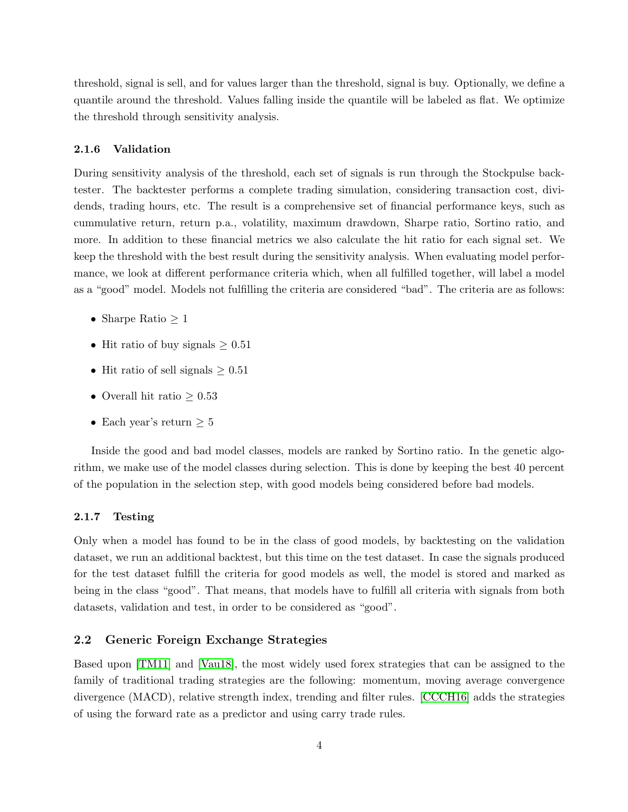threshold, signal is sell, and for values larger than the threshold, signal is buy. Optionally, we define a quantile around the threshold. Values falling inside the quantile will be labeled as flat. We optimize the threshold through sensitivity analysis.

#### 2.1.6 Validation

During sensitivity analysis of the threshold, each set of signals is run through the Stockpulse backtester. The backtester performs a complete trading simulation, considering transaction cost, dividends, trading hours, etc. The result is a comprehensive set of financial performance keys, such as cummulative return, return p.a., volatility, maximum drawdown, Sharpe ratio, Sortino ratio, and more. In addition to these financial metrics we also calculate the hit ratio for each signal set. We keep the threshold with the best result during the sensitivity analysis. When evaluating model performance, we look at different performance criteria which, when all fulfilled together, will label a model as a "good" model. Models not fulfilling the criteria are considered "bad". The criteria are as follows:

- Sharpe Ratio  $\geq 1$
- Hit ratio of buy signals  $\geq 0.51$
- Hit ratio of sell signals  $> 0.51$
- Overall hit ratio  $\geq 0.53$
- Each year's return  $\geq 5$

Inside the good and bad model classes, models are ranked by Sortino ratio. In the genetic algorithm, we make use of the model classes during selection. This is done by keeping the best 40 percent of the population in the selection step, with good models being considered before bad models.

#### 2.1.7 Testing

Only when a model has found to be in the class of good models, by backtesting on the validation dataset, we run an additional backtest, but this time on the test dataset. In case the signals produced for the test dataset fulfill the criteria for good models as well, the model is stored and marked as being in the class "good". That means, that models have to fulfill all criteria with signals from both datasets, validation and test, in order to be considered as "good".

#### <span id="page-3-0"></span>2.2 Generic Foreign Exchange Strategies

Based upon [\[TM11\]](#page-8-0) and [\[Vau18\]](#page-8-1), the most widely used forex strategies that can be assigned to the family of traditional trading strategies are the following: momentum, moving average convergence divergence (MACD), relative strength index, trending and filter rules. [\[CCCH16\]](#page-8-2) adds the strategies of using the forward rate as a predictor and using carry trade rules.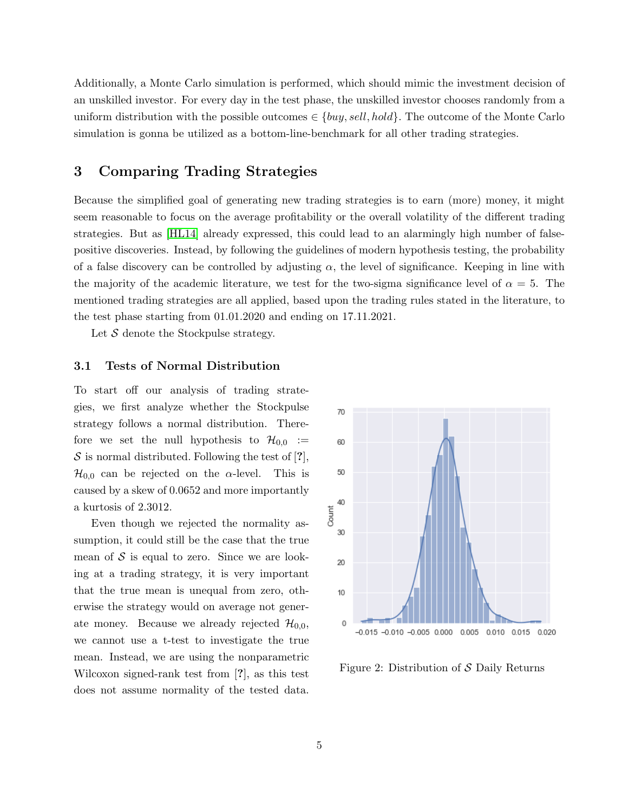Additionally, a Monte Carlo simulation is performed, which should mimic the investment decision of an unskilled investor. For every day in the test phase, the unskilled investor chooses randomly from a uniform distribution with the possible outcomes  $\in \{buy, sell, hold\}$ . The outcome of the Monte Carlo simulation is gonna be utilized as a bottom-line-benchmark for all other trading strategies.

## 3 Comparing Trading Strategies

Because the simplified goal of generating new trading strategies is to earn (more) money, it might seem reasonable to focus on the average profitability or the overall volatility of the different trading strategies. But as [\[HL14\]](#page-8-3) already expressed, this could lead to an alarmingly high number of falsepositive discoveries. Instead, by following the guidelines of modern hypothesis testing, the probability of a false discovery can be controlled by adjusting  $\alpha$ , the level of significance. Keeping in line with the majority of the academic literature, we test for the two-sigma significance level of  $\alpha = 5$ . The mentioned trading strategies are all applied, based upon the trading rules stated in the literature, to the test phase starting from 01.01.2020 and ending on 17.11.2021.

Let  $S$  denote the Stockpulse strategy.

#### <span id="page-4-0"></span>3.1 Tests of Normal Distribution

To start off our analysis of trading strategies, we first analyze whether the Stockpulse strategy follows a normal distribution. Therefore we set the null hypothesis to  $\mathcal{H}_{0,0}$  :=  $S$  is normal distributed. Following the test of [?],  $\mathcal{H}_{0,0}$  can be rejected on the  $\alpha$ -level. This is caused by a skew of 0.0652 and more importantly a kurtosis of 2.3012.

Even though we rejected the normality assumption, it could still be the case that the true mean of  $S$  is equal to zero. Since we are looking at a trading strategy, it is very important that the true mean is unequal from zero, otherwise the strategy would on average not generate money. Because we already rejected  $\mathcal{H}_{0,0}$ , we cannot use a t-test to investigate the true mean. Instead, we are using the nonparametric Wilcoxon signed-rank test from [?], as this test does not assume normality of the tested data.



Figure 2: Distribution of S Daily Returns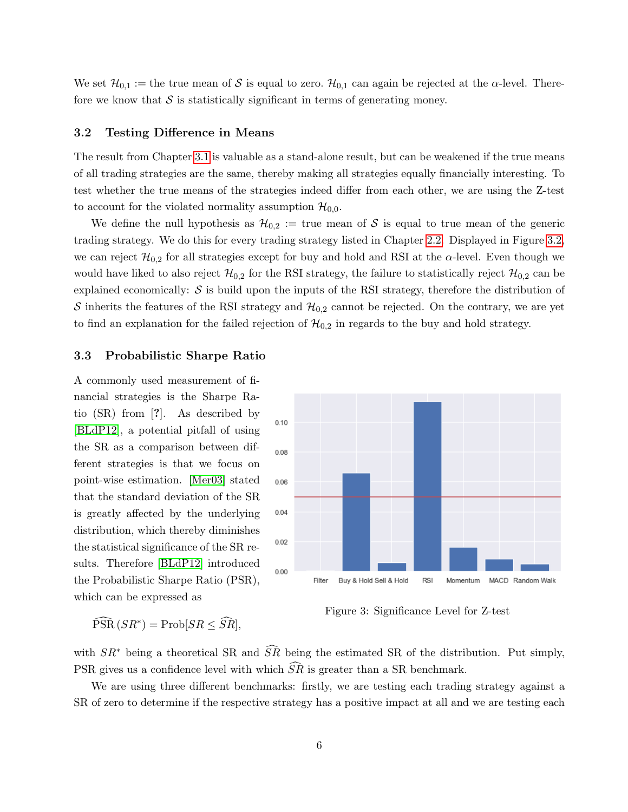We set  $\mathcal{H}_{0,1} :=$  the true mean of S is equal to zero.  $\mathcal{H}_{0,1}$  can again be rejected at the  $\alpha$ -level. Therefore we know that  $S$  is statistically significant in terms of generating money.

#### <span id="page-5-0"></span>3.2 Testing Difference in Means

The result from Chapter [3.1](#page-4-0) is valuable as a stand-alone result, but can be weakened if the true means of all trading strategies are the same, thereby making all strategies equally financially interesting. To test whether the true means of the strategies indeed differ from each other, we are using the Z-test to account for the violated normality assumption  $\mathcal{H}_{0,0}$ .

We define the null hypothesis as  $\mathcal{H}_{0,2} :=$  true mean of S is equal to true mean of the generic trading strategy. We do this for every trading strategy listed in Chapter [2.2.](#page-3-0) Displayed in Figure [3.2,](#page-5-0) we can reject  $\mathcal{H}_{0,2}$  for all strategies except for buy and hold and RSI at the  $\alpha$ -level. Even though we would have liked to also reject  $\mathcal{H}_{0,2}$  for the RSI strategy, the failure to statistically reject  $\mathcal{H}_{0,2}$  can be explained economically:  $S$  is build upon the inputs of the RSI strategy, therefore the distribution of S inherits the features of the RSI strategy and  $\mathcal{H}_{0,2}$  cannot be rejected. On the contrary, we are yet to find an explanation for the failed rejection of  $\mathcal{H}_{0,2}$  in regards to the buy and hold strategy.

#### 3.3 Probabilistic Sharpe Ratio

A commonly used measurement of financial strategies is the Sharpe Ratio (SR) from [?]. As described by [\[BLdP12\]](#page-8-4), a potential pitfall of using the SR as a comparison between different strategies is that we focus on point-wise estimation. [\[Mer03\]](#page-8-5) stated that the standard deviation of the SR is greatly affected by the underlying distribution, which thereby diminishes the statistical significance of the SR results. Therefore [\[BLdP12\]](#page-8-4) introduced the Probabilistic Sharpe Ratio (PSR), which can be expressed as



 $\widehat{\text{PSR}}(SR^*) = \text{Prob}[SR \leq \widehat{SR}],$ 

Figure 3: Significance Level for Z-test

with  $SR^*$  being a theoretical SR and  $\widehat{SR}$  being the estimated SR of the distribution. Put simply, PSR gives us a confidence level with which  $\tilde{S}\tilde{R}$  is greater than a SR benchmark.

We are using three different benchmarks: firstly, we are testing each trading strategy against a SR of zero to determine if the respective strategy has a positive impact at all and we are testing each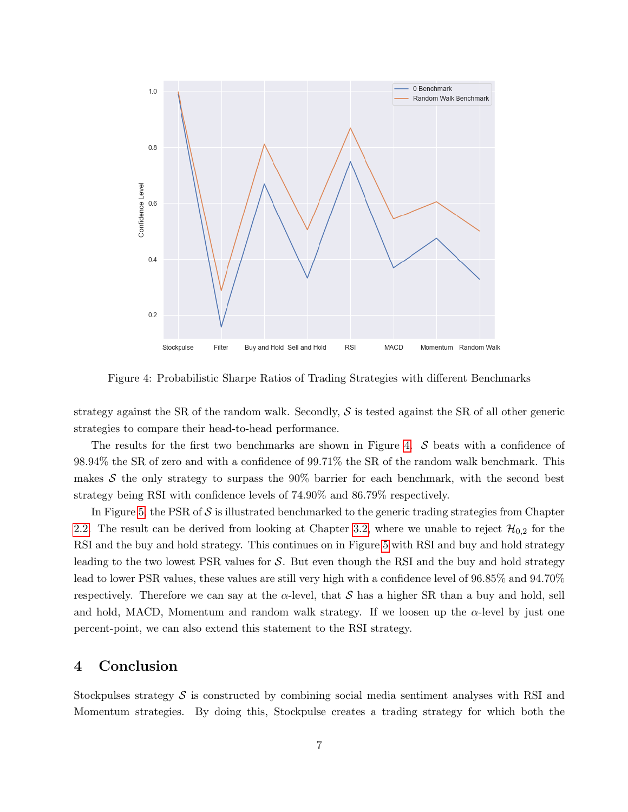

<span id="page-6-0"></span>Figure 4: Probabilistic Sharpe Ratios of Trading Strategies with different Benchmarks

strategy against the SR of the random walk. Secondly,  $S$  is tested against the SR of all other generic strategies to compare their head-to-head performance.

The results for the first two benchmarks are shown in Figure [4.](#page-6-0) S beats with a confidence of 98.94% the SR of zero and with a confidence of 99.71% the SR of the random walk benchmark. This makes  $S$  the only strategy to surpass the 90% barrier for each benchmark, with the second best strategy being RSI with confidence levels of 74.90% and 86.79% respectively.

In Figure [5,](#page-7-0) the PSR of  $S$  is illustrated benchmarked to the generic trading strategies from Chapter [2.2.](#page-3-0) The result can be derived from looking at Chapter [3.2,](#page-5-0) where we unable to reject  $\mathcal{H}_{0,2}$  for the RSI and the buy and hold strategy. This continues on in Figure [5](#page-7-0) with RSI and buy and hold strategy leading to the two lowest PSR values for  $S$ . But even though the RSI and the buy and hold strategy lead to lower PSR values, these values are still very high with a confidence level of 96.85% and 94.70% respectively. Therefore we can say at the  $\alpha$ -level, that S has a higher SR than a buy and hold, sell and hold, MACD, Momentum and random walk strategy. If we loosen up the  $\alpha$ -level by just one percent-point, we can also extend this statement to the RSI strategy.

# 4 Conclusion

Stockpulses strategy  $S$  is constructed by combining social media sentiment analyses with RSI and Momentum strategies. By doing this, Stockpulse creates a trading strategy for which both the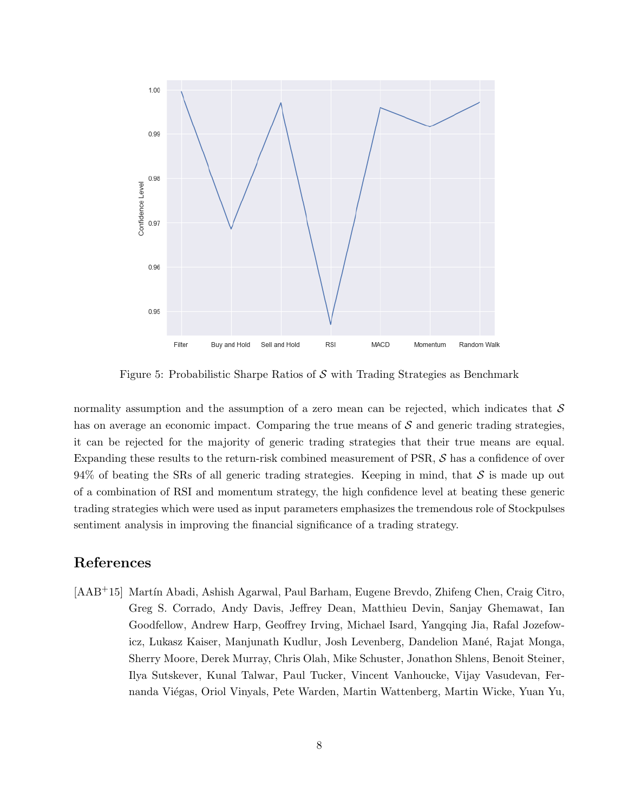

<span id="page-7-0"></span>Figure 5: Probabilistic Sharpe Ratios of  $S$  with Trading Strategies as Benchmark

normality assumption and the assumption of a zero mean can be rejected, which indicates that  $\mathcal S$ has on average an economic impact. Comparing the true means of  $S$  and generic trading strategies, it can be rejected for the majority of generic trading strategies that their true means are equal. Expanding these results to the return-risk combined measurement of PSR, S has a confidence of over 94% of beating the SRs of all generic trading strategies. Keeping in mind, that  $\mathcal S$  is made up out of a combination of RSI and momentum strategy, the high confidence level at beating these generic trading strategies which were used as input parameters emphasizes the tremendous role of Stockpulses sentiment analysis in improving the financial significance of a trading strategy.

# References

[AAB<sup>+</sup>15] Martín Abadi, Ashish Agarwal, Paul Barham, Eugene Brevdo, Zhifeng Chen, Craig Citro, Greg S. Corrado, Andy Davis, Jeffrey Dean, Matthieu Devin, Sanjay Ghemawat, Ian Goodfellow, Andrew Harp, Geoffrey Irving, Michael Isard, Yangqing Jia, Rafal Jozefowicz, Lukasz Kaiser, Manjunath Kudlur, Josh Levenberg, Dandelion Mané, Rajat Monga, Sherry Moore, Derek Murray, Chris Olah, Mike Schuster, Jonathon Shlens, Benoit Steiner, Ilya Sutskever, Kunal Talwar, Paul Tucker, Vincent Vanhoucke, Vijay Vasudevan, Fernanda Viégas, Oriol Vinyals, Pete Warden, Martin Wattenberg, Martin Wicke, Yuan Yu,